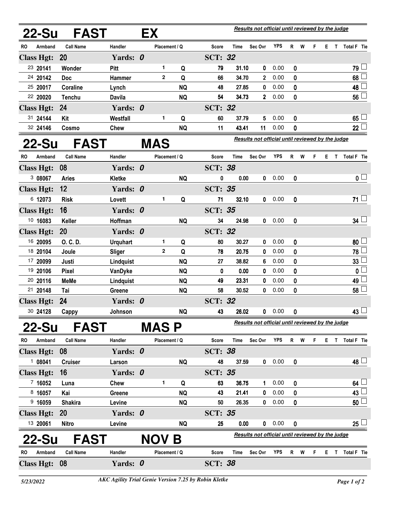| 22-Su                | FAST                    | EX              |            |                |           |                | Results not official until reviewed by the judge |                |                                                  |   |     |    |    |   |                         |  |
|----------------------|-------------------------|-----------------|------------|----------------|-----------|----------------|--------------------------------------------------|----------------|--------------------------------------------------|---|-----|----|----|---|-------------------------|--|
| Armband<br>RO        | <b>Call Name</b>        | Handler         |            | Placement / Q  |           | <b>Score</b>   | <b>Time</b>                                      | Sec Ovr        | <b>YPS</b>                                       | R | W   | F  | Е. |   | T Total F Tie           |  |
| <b>Class Hgt:</b>    | <b>20</b>               | Yards: 0        |            |                |           | <b>SCT: 32</b> |                                                  |                |                                                  |   |     |    |    |   |                         |  |
| 23 20141             | Wonder                  | Pitt            |            | 1              | Q         | 79             | 31.10                                            | 0              | 0.00                                             | 0 |     |    |    |   | 79                      |  |
| 24 20142             | <b>Doc</b>              | Hammer          |            | $\overline{2}$ | Q         | 66             | 34.70                                            | $\overline{2}$ | 0.00                                             | 0 |     |    |    |   | 68                      |  |
| 25 20017             | Coraline                | Lynch           |            |                | <b>NQ</b> | 48             | 27.85                                            | 0              | 0.00                                             | 0 |     |    |    |   | 48                      |  |
| 22 20020             | <b>Tenchu</b>           | Davila          |            |                | <b>NQ</b> | 54             | 34.73                                            | 2 <sup>1</sup> | 0.00                                             | 0 |     |    |    |   | 56                      |  |
| <b>Class Hgt:</b>    | 24                      | Yards: 0        |            |                |           | <b>SCT: 32</b> |                                                  |                |                                                  |   |     |    |    |   |                         |  |
| 31 24144             | Kit                     | Westfall        |            | 1              | Q         | 60             | 37.79                                            | 5              | 0.00                                             | 0 |     |    |    |   | 65 <sup>1</sup>         |  |
| 32 24146             | Cosmo                   | <b>Chew</b>     |            |                | <b>NQ</b> | 11             | 43.41                                            | 11             | 0.00                                             | 0 |     |    |    |   | 22 <sup>1</sup>         |  |
|                      | <b>FAST</b><br>$22$ -Su |                 | <b>MAS</b> |                |           |                |                                                  |                | Results not official until reviewed by the judge |   |     |    |    |   |                         |  |
| RO<br>Armband        | <b>Call Name</b>        | Handler         |            | Placement / Q  |           | Score          | <b>Time</b>                                      | Sec Ovr        | <b>YPS</b>                                       | R | W   | F. |    |   | E T Total F Tie         |  |
| <b>Class Hgt:</b>    | 08                      | Yards: 0        |            |                |           | <b>SCT: 38</b> |                                                  |                |                                                  |   |     |    |    |   |                         |  |
| 308067               | <b>Aries</b>            | <b>Kletke</b>   |            |                | <b>NQ</b> | 0              | 0.00                                             | 0              | 0.00                                             | 0 |     |    |    |   | $\overline{\mathbf{0}}$ |  |
| <b>Class Hgt:</b>    | 12                      | Yards: 0        |            |                |           | <b>SCT: 35</b> |                                                  |                |                                                  |   |     |    |    |   |                         |  |
| 6 12073              | <b>Risk</b>             | Lovett          |            | 1              | Q         | 71             | 32.10                                            | 0              | 0.00                                             | 0 |     |    |    |   | $71 -$                  |  |
| <b>Class Hgt:</b>    | 16                      | Yards: 0        |            |                |           | <b>SCT: 35</b> |                                                  |                |                                                  |   |     |    |    |   |                         |  |
| 10 16083             | Keller                  | Hoffman         |            |                | <b>NQ</b> | 34             | 24.98                                            | 0              | 0.00                                             | 0 |     |    |    |   | $34\perp$               |  |
| <b>Class Hgt:</b>    | 20                      | Yards: 0        |            |                |           | <b>SCT: 32</b> |                                                  |                |                                                  |   |     |    |    |   |                         |  |
| 16 20095             | O. C. D.                | <b>Urquhart</b> |            | 1              | Q         | 80             | 30.27                                            | 0              | 0.00                                             | 0 |     |    |    |   | 80                      |  |
| 18 20104             | Joule                   | <b>Sliger</b>   |            | $\overline{2}$ | Q         | 78             | 20.75                                            | 0              | 0.00                                             | 0 |     |    |    |   | 78                      |  |
| 17 20099             | Justi                   | Lindquist       |            |                | <b>NQ</b> | 27             | 38.82                                            | 6              | 0.00                                             | 0 |     |    |    |   | 33                      |  |
| 19 20106             | <b>Pixel</b>            | VanDyke         |            |                | <b>NQ</b> | 0              | 0.00                                             | 0              | 0.00                                             | 0 |     |    |    |   | 0                       |  |
| 20 20116             | <b>MeMe</b>             | Lindquist       |            |                | <b>NQ</b> | 49             | 23.31                                            | 0              | 0.00                                             | 0 |     |    |    |   | 49                      |  |
| 21 20148             | Tai                     | Greene          |            |                | <b>NQ</b> | 58             | 30.52                                            | 0              | 0.00                                             | 0 |     |    |    |   | 58                      |  |
| <b>Class Hgt:</b>    | 24                      | Yards: 0        |            |                |           | <b>SCT: 32</b> |                                                  |                |                                                  |   |     |    |    |   |                         |  |
| 30 24128             | Cappy                   | Johnson         |            |                | <b>NQ</b> | 43             | 26.02                                            | 0              | 0.00                                             | 0 |     |    |    |   | 43 ∟                    |  |
| 22-Su<br><b>FAST</b> |                         |                 |            | <b>MASP</b>    |           |                | Results not official until reviewed by the judge |                |                                                  |   |     |    |    |   |                         |  |
| Armband<br>RO        | <b>Call Name</b>        | Handler         |            | Placement / Q  |           | <b>Score</b>   | Time                                             | Sec Ovr        | YPS                                              |   | R W | F  |    |   | E T Total F Tie         |  |
| <b>Class Hgt:</b>    | 08                      | Yards: 0        |            |                |           | <b>SCT: 38</b> |                                                  |                |                                                  |   |     |    |    |   |                         |  |
| 108041               | <b>Cruiser</b>          | Larson          |            |                | <b>NQ</b> | 48             | 37.59                                            | $\mathbf 0$    | 0.00                                             | 0 |     |    |    |   | $48 \Box$               |  |
| <b>Class Hgt:</b>    | 16                      | Yards: 0        |            |                |           | <b>SCT: 35</b> |                                                  |                |                                                  |   |     |    |    |   |                         |  |
| 7 16052              | Luna                    | Chew            |            | 1              | Q         | 63             | 36.75                                            | $\mathbf 1$    | 0.00                                             | 0 |     |    |    |   | $64\perp$               |  |
| 8 16057              | Kai                     | Greene          |            |                | <b>NQ</b> | 43             | 21.41                                            | 0              | 0.00                                             | 0 |     |    |    |   | 43                      |  |
| 9 16059              | <b>Shakira</b>          | Levine          |            |                | <b>NQ</b> | 50             | 26.35                                            | $\mathbf{0}$   | 0.00                                             | 0 |     |    |    |   | 50 <sup>1</sup>         |  |
| <b>Class Hgt:</b>    | <b>20</b>               | Yards: 0        |            |                |           | <b>SCT: 35</b> |                                                  |                |                                                  |   |     |    |    |   |                         |  |
| 13 20061             | Nitro                   | Levine          |            |                | <b>NQ</b> | 25             | 0.00                                             |                | 0 0.00                                           | 0 |     |    |    |   | 25 <sup>1</sup>         |  |
| <b>FAST</b><br>22-Su |                         |                 |            | NOV.           | B         |                | Results not official until reviewed by the judge |                |                                                  |   |     |    |    |   |                         |  |
| RO<br>Armband        | <b>Call Name</b>        | Handler         |            | Placement / Q  |           | <b>Score</b>   | Time                                             | Sec Ovr        | <b>YPS</b>                                       | R | W   | F  | E  | T | Total F Tie             |  |
| Class Hgt: 08        |                         | Yards: 0        |            |                |           | <b>SCT: 38</b> |                                                  |                |                                                  |   |     |    |    |   |                         |  |